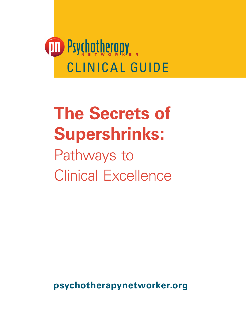

# **The Secrets of Supershrinks:**

Pathways to Clinical Excellence

**psychotherapynetworker.org**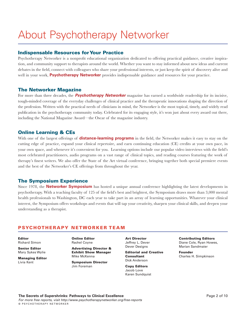## About Psychotherapy Networker

#### Indispensable Resources for Your Practice

Psychotherapy Networker is a nonprofit educational organization dedicated to offering practical guidance, creative inspiration, and community support to therapists around the world. Whether you want to stay informed about new ideas and current debates in the field, connect with colleagues who share your professional interests, or just keep the spirit of discovery alive and well in your work, **Psychotherapy Networker** provides indispensable guidance and resources for your practice.

#### The Networker Magazine

For more than three decades, the *Psychotherapy Networker* magazine has earned a worldwide readership for its incisive, tough-minded coverage of the everyday challenges of clinical practice and the therapeutic innovations shaping the direction of the profession. Written with the practical needs of clinicians in mind, the Networker is the most topical, timely, and widely read publication in the psychotherapy community today. Celebrated for its engaging style, it's won just about every award out there, including the National Magazine Award—the Oscar of the magazine industry.

#### Online Learning & CEs

With one of the largest offerings of **distance-learning programs** in the field, the Networker makes it easy to stay on the cutting edge of practice, expand your clinical repertoire, and earn continuing education (CE) credits at your own pace, in your own space, and whenever it's convenient for you. Learning options include our popular video interviews with the field's most celebrated practitioners, audio programs on a vast range of clinical topics, and reading courses featuring the work of therapy's finest writers. We also offer the State of the Art virtual conference, bringing together both special premiere events and the best of the Networker's CE offerings from throughout the year.

#### The Symposium Experience

Since 1978, the **Networker Symposium** has hosted a unique annual conference highlighting the latest developments in psychotherapy. With a teaching faculty of 125 of the field's best and brightest, the Symposium draws more than 3,000 mental health professionals to Washington, DC each year to take part in an array of learning opportunities. Whatever your clinical interest, the Symposium offers workshops and events that will tap your creativity, sharpen your clinical skills, and deepen your understanding as a therapist.

#### PSYCHOTHERAPY NETWORKER TEAM

Editor Richard Simon

Senior Editor Mary Sykes Wylie

Managing Editor Livia Kent

Online Editor Rachel Coyne

Advertising Director & Exhibit Show Manager

Mike McKenna Symposium Director Jim Foreman

Art Director Jeffrey L. Dever Dever Designs

Editorial and Creative **Consultant** Dick Anderson

Copy Editors Jacob Love Karen Sundquist Contributing Editors Diane Cole, Ryan Howes, Marian Sandmaier

Founder Charles H. Simpkinson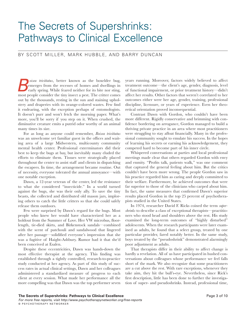### The Secrets of Supershrinks: Pathways to Clinical Excellence

#### By Scott Miller, Mark Hubble, and Barry Duncan

*B*  most people consider the tiny insect a pest. The critter comes *oisea trivittatus*, better known as the boxelder bug, emerges from the recesses of homes and dwellings in early spring. While feared neither for its bite nor sting, out by the thousands, resting in the sun and staining upholstery and draperies with its orange-colored wastes. Few find it endearing, with the exception perhaps of entomologists. It doesn't purr and won't fetch the morning paper. What's more, you'll be sorry if you step on it. When crushed, the diminutive creature emits a putrid odor worthy of an animal many times its size.

For as long as anyone could remember, *Boisea trivittatus* was an unwelcome yet familiar guest in the offices and waiting area of a large Midwestern, multicounty community mental health center. Professional exterminators did their best to keep the bugs at bay, but inevitably many eluded the efforts to eliminate them. Tissues were strategically placed throughout the center to assist staff and clients in dispatching the escapees. In time, the arrangement became routine. Out of necessity, everyone tolerated the annual annoyance—with one notable exception.

Dawn, a 12-year veteran of the center, led the resistance to what she considered "insecticide." In a world turned against the bugs, she was their only ally. To save the tiny beasts, she collected and distributed old mason jars, imploring others to catch the little critters so that she could safely release them outdoors.

Few were surprised by Dawn's regard for the bugs. Most people who knew her would have characterized her as a holdout from the Summer of Love. Her VW microbus, floorlength, tie-died skirts, and Birkenstock sandals—combined with the scent of patchouli and sandalwood that lingered after her passage—solidified everyone's impression that she was a fugitive of Haight-Ashbury. Rumor had it that she'd been conceived at Esalen.

Despite these eccentricities, Dawn was hands-down the most effective therapist at the agency. This finding was established through a tightly controlled, research-to-practice study conducted at her agency. As part of this study of success rates in actual clinical settings, Dawn and her colleagues administered a standardized measure of progress to each client at every session. What made her performance all the more compelling was that Dawn was the top performer seven years running. Moreover, factors widely believed to affect treatment outcome—the client's age, gender, diagnosis, level of functional impairment, or prior treatment history—didn't affect her results. Other factors that weren't correlated to her outcomes either were her age, gender, training, professional discipline, licensure, or years of experience. Even her theoretical orientation proved inconsequential.

Contrast Dawn with Gordon, who couldn't have been more different. Rigidly conservative and brimming with confidence bordering on arrogance, Gordon managed to build a thriving private practice in an area where most practitioners were struggling to stay afloat financially. Many in the professional community sought to emulate his success. In the hopes of learning his secrets or earning his acknowledgement, they competed hard to become part of his inner circle.

Whispered conversations at parties and local professional meetings made clear that others regarded Gordon with envy and enmity. "Profits talk, patients walk," was one comment that captured the general feeling about him. But the critics couldn't have been more wrong. The people Gordon saw in his practice regarded him as caring and deeply committed to their welfare. Furthermore, he achieved outcomes that were far superior to those of the clinicians who carped about him. In fact, the same measures that confirmed Dawn's superior results placed Gordon in the top 25 percent of psychotherapists studied in the United States.

In 1974, researcher David F. Ricks coined the term *supershrinks* to describe a class of exceptional therapists—practitioners who stood head and shoulders above the rest. His study examined the long-term outcomes of "highly disturbed" adolescents. When the research participants were later examined as adults, he found that a select group, treated by one particular provider, fared notably better. In the same study, boys treated by the "pseudoshrink" demonstrated alarmingly poor adjustment as adults.

That therapists differ in their ability to affect change is hardly a revelation. All of us have participated in hushed conversations about colleagues whose performance we feel falls short of the mark. We also recognize that some practitioners are a cut above the rest. With rare exceptions, whenever they take aim, they hit the bull's-eye. Nevertheless, since Rick's first description, little has been done to further the investigation of super- and pseudoshrinks. Instead, professional time,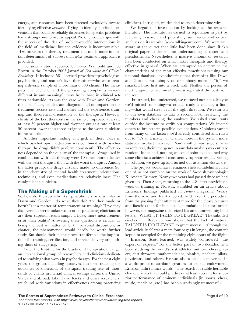energy, and resources have been directed exclusively toward identifying effective *therapies*. Trying to identify specific interventions that could be reliably dispensed for specific problems has a strong common-sense appeal. No one would argue with the success of the idea of problem-specific interventions in the field of medicine. But the evidence is incontrovertible. *Who* provides the therapy treatment is a much more important determinant of success than *what* treatment approach is provided.

Consider a study reported by Bruce Wampold and Jeb Brown in the October 2005 J*ournal of Consulting and Clinical Psychology*. It included 581 licensed providers—psychologists, psychiatrists, and master's-level therapists—who were treating a diverse sample of more than 6,000 clients. The therapists, the clientele, and the presenting complaints weren't different in any meaningful way from those in clinical settings nationwide. As was the case with Dawn and Gordon, the clients' age, gender, and diagnosis had no impact on the treatment success rate and neither did the experience, training, and theoretical orientation of the therapists. However, clients of the best therapists in the sample improved at a rate at least 50 percent higher and dropped out at a rate at least 50 percent lower than those assigned to the worst clinicians in the sample.

Another important finding emerged: in those cases in which psychotropic medication was combined with psychotherapy, the drugs didn't perform consistently. The effectiveness depended on the quality of the therapist—drugs used in combination with talk therapy were 10 times more effective with the best therapists than with the worst therapists. Among the latter group, the drugs virtually made no difference. So, in the chemistry of mental health treatment, orientations, techniques, and even medications are relatively inert. The catalyst is the clinician.

#### The Making of a Supershrink

So how do the supershrinks—practitioners as dissimilar as Dawn and Gordon—do what they do? Are they made or born? Is it a matter of temperament or training? Have they discovered a secret unknown to other practicing clinicians or are their superior results simply a fluke, more measurement error than reality? Answering these questions is critical. If being the best is matter of birth, personal disposition, or chance, the phenomenon would hardly be worth further study. But should their talents prove transferable, the implications for training, certification, and service delivery are nothing short of staggering.

Enter the Institute for the Study of Therapeutic Change, an international group of researchers and clinicians dedicated to studying what works in psychotherapy. For the past eight years, the group, including ourselves, has been tracking the outcomes of thousands of therapists treating tens of thousands of clients in myriad clinical settings across the United States and abroad. Like David Ricks and other researchers, we found wide variations in effectiveness among practicing clinicians. Intrigued, we decided to try to determine why.

We began our investigation by looking at the research literature. The institute has earned its reputation in part by reviewing research and publishing summaries and critical analyses on its website (www.talkingcure.com). We were well aware at the outset that little had been done since Rick's original paper to deepen the understanding of super- and pseudoshrinks. Nevertheless, a massive amount of research had been conducted on what makes therapists and therapy effective in general. When we attempted to determine the characteristics of the most effective practitioners using our national database, hypothesizing that therapists like Dawn and Gordon must simply do or embody more of "it," we smacked head first into a brick wall. Neither the person of the therapist nor technical prowess separated the best from the rest.

 Frustrated, but undeterred, we retraced our steps. Maybe we'd missed something—a critical study, a nuance, a finding—that would steer us in the right direction. We returned to our own database to take a second look, reviewing the numbers and checking the analyses. We asked consultants outside the institute to verify our computations. We invited others to brainstorm possible explanations. Opinions varied from many of the factors we'd already considered and ruled out to "it's all a matter of chance, noise in the system, more statistical artifact than fact." Said another way, supershrinks weren't real, their emergence in any data analysis was entirely random. In the end, nothing we could point to explained why some clinicians achieved consistently superior results. Seeing no solution, we gave up and turned our attention elsewhere.

The project would have remained shelved indefinitely had one of us not stumbled on the work of Swedish psychologist K. Anders Ericsson. Nearly two years had passed since we had given up. Then Scott, returning to the U.S. after providing a week of training in Norway, stumbled on an article about Ericsson's findings published in *Fortune* magazine. Weary from the road and frankly bored, he'd taken the periodical from the passing flight attendant more for the glossy pictures and factoids than for intellectual stimulation. In short order, however, the magazine title seized his attention—in big bold letters, "WHAT IT TAKES TO BE GREAT." The subtitled cinched it, "Research now shows that the lack of natural TALENT IS IRRELEVANT to great success." Although the lead article itself was a mere four pages in length, the content kept him occupied for the remaining eight hours of the flight.

Ericsson, Scott learned, was widely considered "the expert on experts." For the better part of two decades, he'd been studying the world's best athletes, authors, chess players, dart throwers, mathematicians, pianists, teachers, pilots, physicians, and others. He was also a bit of a maverick. In a world prone to attribute greatness to genetic endowment, Ericsson didn't mince words, "The search for stable heritable characteristics that could predict or at least account for superior performance of eminent individuals [in sports, chess, music, medicine, etc.] has been surprisingly unsuccessful. . .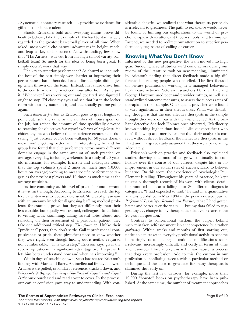. Systematic laboratory research . . . provides *no* evidence for giftedness or innate talent."

Should Ericsson's bold and sweeping claims prove difficult to believe, take the example of Michael Jordan, widely regarded as the greatest basketball player of all time. When asked, most would cite natural advantages in height, reach, and leap as key to his success. Notwithstanding, few know that "His Airness" was cut from his high school varsity basketball team! So much for the idea of being born great. It simply doesn't work that way.

The key to superior performance? As absurd as it sounds, the best of the best simply work harder at improving their performance than others do. Jordan, for example, didn't give up when thrown off the team. Instead, his failure drove him to the courts, where he practiced hour after hour. As he put it, "Whenever I was working out and got tired and figured I ought to stop, I'd close my eyes and see that list in the locker room without my name on it, and that usually got me going again."

Such *deliberate practice,* as Ericsson goes to great lengths to point out, isn't the same as the number of hours spent on the job, but rather the amount of time specifically devoted to reaching for objectives *just beyond one's level of proficiency.* He chides anyone who believes that experience creates expertise, saying, "Just because you've been walking for 50 years doesn't mean you're getting better at it." Interestingly, he and his group have found that elite performers across many different domains engage in the same amount of such practice, on average, every day, including weekends. In a study of 20-yearold musicians, for example, Ericsson and colleagues found that the top violinists spent 2 times as much time (10,000 hours on average) working to meet specific performance targets as the next best players and 10 times as much time as the average musician.

As time consuming as this level of practicing sounds—and it is—it isn't enough. According to Ericsson, to reach the top level, attentiveness to feedback is crucial. Studies of physicians with an uncanny knack for diagnosing baffling medical problems, for example, prove that they act differently than their less capable, but equally well-trained, colleagues. In addition to visiting with, examining, taking careful notes about, and reflecting on their assessment of a particular patient, they take one additional critical step. *They follow up*. Unlike their "proficient" peers, they don't settle. Call it professional compulsiveness or pride, these physicians need to know whether they were right, even though finding out is neither required nor reimbursable. "This extra step," Ericsson says, gives the superdiagnostician, "a significant advantage over his peers. It lets him better understand how and when he's improving."

Within days of touching down, Scott had shared Ericsson's findings with Mark and Barry. An intellectual frenzy followed. Articles were pulled, secondary references tracked down, and Ericsson's 918-page *Cambridge Handbook of Expertise and Expert Performance* purchased and read cover to cover. In the process, our earlier confusion gave way to understanding. With considerable chagrin, we realized that what therapists per se do is irrelevant to greatness. The path to excellence would never be found by limiting our explorations to the world of psychotherapy, with its attendant theories, tools, and techniques. Instead, we needed to redirect our attention to superior performance, regardless of calling or career.

#### Knowing What You Don't Know

Informed by this new perspective, the team moved into high gear. Suddenly, several studies we'd come across during our review of the literature took on new meaning, illuminated by Ericsson's finding that direct feedback made a big difference in creating people who excelled. The first focused on private practitioners working in a managed behavioral health care network. Veteran researchers Deirdre Hiatt and George Hargrave used peer and provider ratings, as well as a standardized outcome measures, to assess the success rates of therapists in their sample. Once again, providers were found to vary significantly in their effectiveness. What was disturbing, though, is that the *least* effective therapists in the sample thought they were on par with the *most* effective! As the brilliant detective Sherlock Holmes once observed, "Mediocrity knows nothing higher than itself." Like diagnosticians who don't follow up and merely assume that their analysis is correct, without direct feedback, the ineffective therapists in the Hiatt and Hargrave study assumed that they were performing adequately.

Ericsson's work on practice and feedback also explained studies showing that most of us grow continually in confidence over the course of our careers, despite little or no improvement in our actual rates of success. Hard to believe, but true. On this score, the experience of psychologist Paul Clement is telling. Throughout his years of practice, he kept unusually thorough records of his work with clients, detailing hundreds of cases falling into 86 different diagnostic categories. "I had expected to find," he said in a quantitative analysis, published in May 1994 in the peer-reviewed journal *Professional Psychology: Research and Practice*, "that I had gotten better and better over the years . . . but my data failed to suggest any . . . change in my therapeutic effectiveness across the 26 years in question."

Contrary to conventional wisdom, the culprit behind such mistaken self-assessment isn't incompetence but rather *proficiency*. Within weeks and months of first starting out, noticeable mistakes in everyday professional activities become increasingly rare, making intentional modifications seem irrelevant, increasingly difficult, and costly in terms of time and resources. Once more, this is human nature, a process that dogs every profession. Add to this, the custom in our profession of conflating success with a particular method or technique and the door to greatness for many therapists is slammed shut early on.

During the last few decades, for example, more than 10,000 "how-to" books on psychotherapy have been published. At the same time, the number of treatment approaches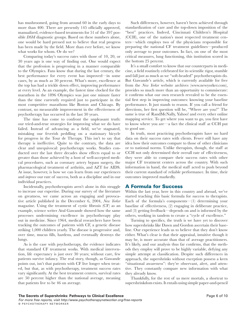has mushroomed, going from around 60 in the early days to more than 400. There are presently 145 officially approved, manualized, evidence-based treatments for 51 of the 397 possible *DSM* diagnostic groups. Based on these numbers alone, one would be hard pressed not to believe that real progress has been made by the field. More than ever before, we know what works for whom. Or do we?

Comparing today's success rates with those of 10, 20, or 30 years ago is one way of finding out. One would expect that the profession is progressing in a manner comparable to the Olympics. Fans know that during the last century, the best performance for every event has improved—in some cases, by as much as 50 percent. What's more, excellence at the top has had a trickle down effect, improving performance at every level. As an example, the fastest time clocked for the marathon in the 1896 Olympics was just one minute faster than the time currently required just to participate in the most competitive marathons like Boston and Chicago. By contrast, no measurable improvement in the effectiveness of psychotherapy has occurred in the last 30 years.

The time has come to confront the unpleasant truth: our tried-and-true strategies for improving what we do have failed. Instead of advancing as a field, we've stagnated, mistaking our feverish peddling on a stationary bicycle for progress in the Tour de Therapy. This isn't to say that therapy is ineffective. Quite to the contrary, the data are clear and unequivocal: psychotherapy works. Studies conducted over the last three decades show effects equal to or greater than those achieved by a host of well-accepted medical procedures, such as coronary artery bypass surgery, the pharmacological treatment of arthritis, and AZT for AIDS. At issue, however, is how we can learn from our experiences and *improve* our rate of success, both as a discipline and in our individual practices.

Incidentally, psychotherapists aren't alone in this struggle to increase our expertise. During our survey of the literature on greatness, we came across an engaging and provocative article published in the December 6, 2004, *New Yorker* magazine. Using the treatment of cystic fibrosis (CF) as an example, science writer Atul Gawande showed how the same processes undermining excellence in psychotherapy play out in medicine. Since 1964, medical researchers have been tracking the outcomes of patients with CF, a genetic disease striking 1,000 children yearly. The disease is progressive and, over time, mucus fills, hardens, and eventually destroys the lungs.

As is the case with psychotherapy, the evidence indicates that standard CF treatment works. With medical intervention, life expectancy is just over 30 years; without care, few patients survive infancy. The real story, though, as Gawande points out, isn't that patients with CF live longer when treated, but that, as with psychotherapy, treatment success rates vary significantly. At the best treatment centers, survival rates are 50 percent higher than the national average, meaning that patients live to be 46 on average.

Such differences, however, haven't been achieved through standardization of care and the top-down imposition of the "best" practices. Indeed, Cincinnati Children's Hospital (CCH), one of the nation's most respected treatment centers—which employs two of the physicians responsible for preparing the national CF treatment guidelines—produced only average to poor outcomes. In fact, on one of the most critical measures, lung functioning, this institution scored in the bottom 25 percent.

It's a small comfort to know that our counterparts in medicine, a field routinely celebrated for its scientific rigor, stumble and fall just as much as we "soft-headed" psychotherapists do. But Gawande's article, which is currently available for free from the *New Yorker* website archives (www.newyorker.com), provides so much more than an opportunity to commiserate: it confirms what our own research revealed to be the essential first step in improving outcomes: knowing your baseline performance. It just stands to reason. If you call a friend for directions, her first question will be, "Where are you?" The same is true of RandMcNally, Yahoo! and every other online mapping service. To get where you want to go, you first have to know where you are—a fact the clinical staff at CCH put to good use.

In truth, most practicing psychotherapists have no hard data on their success rates with clients. Fewer still have any idea how their outcomes compare to those of other clinicians or to national norms. Unlike therapists, though, the staff at CCH not only determined their overall rate of effectiveness, they were able to compare their success rates with other major CF treatment centers across the country. With such information in hand, the medical staff acted to push beyond their current standard of reliable performance. In time, their outcomes improved markedly.

#### A Formula for Success

Within the last year, here in this country and abroad, we've started teaching this basic formula for success to therapists. Each of the formula's components—(1) determining your baseline of effectiveness, (2) engaging in deliberate practice, and (3) getting feedback—depends on and is informed by the others, working in tandem to create a "cycle of excellence."

Turning to specifics, the truth is we have yet to discover how supershrinks like Dawn and Gordon ascertain their baseline. Our experience leads us to believe that they don't know either. What's clear is that their appraisal, intuitive though it may be, is more accurate than that of average practitioners. It's likely, and our analysis thus far confirms, that the methods they employ will prove to be highly variable, defying any simple attempt at classification. Despite such differences in approach, the supershrinks without exception possess a keen "situational awareness": they're observant, alert, and attentive. They constantly compare new information with what they already know.

Thankfully, for the rest of us mere mortals, a shortcut to supershrinkdom exists. It entails using simple paper-and-pencil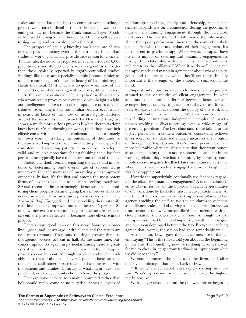scales and some basic statistics to compute your baseline, a process we discuss in detail in the article that follows. In the end, you may not become the Frank Sinatra, Tiger Woods, or Melissa Etheridge of the therapy world, but you'll be able to sing, swing, and strum along with the best.

The prospect of actually knowing one's true rate of success can provoke anxiety even in the best of us. For all that, studies of working clinicians provide little reason for concern. To illustrate, the outcomes reported in a recent study of 6,000 practitioners and 48,000 clients were as good as or better than those typically reported in tightly controlled studies. Findings like these are especially notable because clinicians, unlike researchers, don't have the luxury of handpicking the clients they treat. Most clinicians do good work most of the time, and do so while working with complex, difficult cases.

At the same, you shouldn't be surprised or disheartened when your results prove to be average. As with height, weight, and intelligence, success rates of therapists are normally distributed, resembling the all-too-familiar bell curve. It's a fact: in nearly all facets of life, most of us are tightly clustered around the mean. As the research by Hiatt and Hargrave shows, a much more serious problem is when therapists don't know how they're performing or, worse, think they know their effectiveness without outside confirmation. Unfortunately, our own work in tracking the outcomes of thousands of therapists working in diverse clinical settings has exposed a consistent and alarming pattern: those slowest to adopt a valid and reliable procedure for establishing their baseline performance typically have the poorest outcomes of the lot.

Should any doubt remain regarding the value and importance of determining one's overall rate of success, let us underscore that the mere act of measuring yields improved outcomes. In fact, it's the first and among the most potent forms of feedback available to clinicians seeking excellence. Several recent studies convincingly demonstrate that monitoring client progress on an ongoing basis improves effectiveness dramatically. Our own study, published last year in the *Journal of Brief Therapy*, found that providing therapists with real-time feedback improved outcome nearly 65 percent. So no downside exists to determining your baseline effectiveness: one either is proven effective or becomes more effective in the process.

There's more good news on this score. Share your baseline—good, bad, or average—with clients and the results are even more dramatic. Drop outs, the single greatest threat to therapeutic success, are cut in half. At the same time, outcomes improve yet again, in particular among those at greatest risk for treatment failure. Cincinnati Children's Hospital provides a case in point. Although surprised and understandably embarrassed about their overall poor national ranking, the medical staff nonetheless resolved to share the results with the patients and families. Contrary to what might have been predicted, not a single family chose to leave the program.

That everyone decided to remain committed rather than bolt should really come as no surprise. Across all types of

relationships—business, family and friendship, medicine success depends less on a connection during the good times than on maintaining engagement through the inevitable hard times. The fact the CCH staff shared the information about their poor performance increased the connection their patients felt with them and enhanced their engagement. It's no different in psychotherapy. Where we as therapists have the most impact on securing and sustaining engagement is through the relationship with our clients, what is commonly referred to as the "alliance." When it works well, client and therapist reach and maintain agreement about where they're going and the means by which they'll get there. Equally important is the strength of the emotional connection, the bond.

Supershrinks, our own research shows, are exquisitely attuned to the vicissitudes of client engagement. In what amounts to a quantum difference between themselves and average therapists, they're much more likely to ask for and receive negative feedback about the quality of the work and their contribution to the alliance. We have now confirmed this finding in numerous independent samples of practitioners working in diverse settings with a wide range of presenting problems. The best clinicians, those falling in the top 25 percent of treatment outcomes, consistently achieve lower scores on standardized alliance measures at the outset of therapy—perhaps because they're more persistent or are more believable when assuring clients that they want honest answers—enabling them to address potential problems in the working relationship. Median therapists, by contrast, commonly receive negative feedback later in treatment, at a time when clients have already disengaged and are at heightened risk for dropping out.

How do the supershrinks continually use feedback regarding the alliance to maintain engagement? A session conducted by Dawn, rescuer of the boxelder bugs, is representative of the work done by the field's most effective practitioners. At the time of the visit, we were working as consultants to her agency, teaching the staff to use the standardized outcome and alliance scales, and observing selected clinical interviews from behind a one-way mirror. She'd been meeting with an elderly man for the better part of an hour. Although this first therapy session had lurched along to begin with, an easy give and take soon developed between the two. Everyone watching agreed that, overall, the session had gone remarkably well.

At this point, Dawn gave the alliance measure to the client, saying "This is the scale I told you about at the beginning of our visit. It's something new we're doing here. It's a way for me to check in, to get your feedback or input about what we did here today."

Without comment, the man took the form, and after quickly completing it, handed it back to Dawn.

"Oh wow," she remarked, after rapidly scoring the measure, "you've given me, or the session at least, the highest marks possible."

With that, everyone behind the one-way mirror began to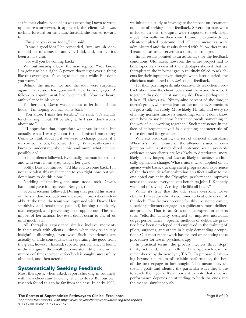stir in their chairs. Each of us was expecting Dawn to wrap up the session—even, it appeared, the client, who was inching forward on his chair. Instead, she leaned toward him.

"I'm glad you came today," she said.

"It was a good idea," he responded, "um, my, uh, doctor told me to come, in, and . . . I did, and, um . . . it's been a nice visit."

"So, will you be coming back?"

Without missing a beat, the man replied, "You know, I'm going to be alright. A person doesn't get over a thing like this overnight. It's going to take me a while. But don't you worry."

Behind the mirror, we and the staff were surprised again. The session had gone well. He'd been engaged. A follow-up appointment had been made. Now we heard ambivalence in his voice.

For her part, Dawn wasn't about to let him off the hook, "I'm hoping you *will* come back."

"You know, I miss her terribly," he said, "it's awfully lonely at night. But, I'll be alright. As I said, don't worry about me."

 "I appreciate that, appreciate what you just said, but actually what I worry about is that I missed something. Come to think about it, if we were to change places, if I were in your shoes, I'd be wondering, 'What really can she know or understand about this, and more, what can she possibly do?"

A long silence followed. Eventually, the man looked up, and with tears in his eyes, caught her gaze.

Softly, Dawn continued, "I'd like you to come back. I'm not sure what this might mean to you right now, but you don't have to do this alone."

Nodding affirmatively, the man stood, took Dawn's hand, and gave it a squeeze. "See you, then."

Several sessions followed. During that period his scores on the standardized outcome measure improved considerably. At the time, the team was impressed with Dawn. Her sensitivity and persistence paid off, keeping the elderly man engaged, and preventing his dropping out. The real import of her actions, however, didn't occur to any of us until much later.

All therapists experience similar incisive moments in their work with clients— times when they're acutely insightful, discerning, even wise. Such experiences are actually of little consequence in separating the good from the great, however. Instead, superior performance is found in the margins—the small but consistent difference in the number of times corrective feedback is sought, successfully obtained, and then acted on.

#### Systematically Seeking Feedback

Most therapists, when asked, report checking in routinely with their clients and knowing when to do so. But our own research found this to be far from the case. In early 1998, we initiated a study to investigate the impact on treatment outcome of seeking client feedback. Several formats were included. In one, therapists were supposed to seek client input informally, on their own. In another, standardized, client-completed outcome and alliance measures were administered and the results shared with fellow therapists. Treatment-as-usual served as a third, control group.

Initial results pointed to an advantage for the feedback conditions. Ultimately, however, the entire project had to be scraped as a review of the videotapes showed that the therapists in the informal group routinely failed to ask clients for their input—even though, when later queried, the clinicians maintained they *had* sought feedback.

For their part, supershrinks consistently seek client feedback about how the client feels about them and their work together; they don't just say they do. Dawn perhaps said it best, "I always ask. Ninety-nine percent of the time, it doesn't go anywhere—at least at the moment. Sometimes I'll get a call, but rarely. More likely, I'll call, and every so often my nosiness uncovers something, some, I don't know quite how to say it, some barrier or break, something in the way of our working together." Such persistence in the face of infrequent payoff is a defining characteristic of those destined for greatness.

Whereas birds can fly, the rest of us need an airplane. When a simple measure of the alliance is used in conjunction with a standardized outcome scale, available evidence shows clients are less likely to deteriorate, more likely to stay longer, and *twice* as likely to achieve a clinically significant change. What's more, when applied on an agency-wide basis, tracking client progress and experience of the therapeutic relationship has an effect similar to the one noted earlier in the Olympics: performance improves across the board; everyone gets better. As John F. Kennedy was fond of saying, "A rising tide lifts all boats."

While it's true that the tide raises everyone, we've observed that supershrinks continue to beat others out of the dock. Two factors account for this. As noted earlier, superior performers engage in significantly more deliberate practice. That is, as Ericsson, the expert on experts says, "effortful activity designed to improve individual target performance." Specific methods of deliberate practice have been developed and employed in the training of pilots, surgeons, and others in highly demanding occupations. Our most recent work has focused on adapting these procedures for use in psychotherapy.

In practical terms, the process involves three steps: think, act, and, finally, reflect. This approach can be remembered by the acronym, T.A.R. To prepare for moving beyond the realm of reliable performance, the best of the best engage in forethought. This means they set specific goals and identify the particular ways they'll use to reach their goals. It's important to note that superior performance depends on attending to both the ends and the means, simultaneously.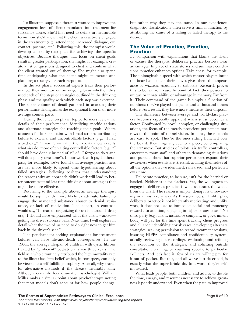To illustrate, suppose a therapist wanted to improve the engagement level of clients mandated into treatment for substance abuse. She'd first need to define in measurable terms how she'd know that the client was actively engaged in the treatment (e.g., attendance, increased dialogue, eye contact, posture, etc.). Following this, the therapist would develop a step-by-step plan for achieving the specific objectives. Because therapies that focus on client goals result in greater participation, she might, for example, create a list of questions designed to elicit and confirm what the client wanted out of therapy. She might also spend time anticipating what the client might enumerate and planning a strategy for each response.

In the act phase, successful experts track their performance: they monitor on an ongoing basis whether they used each of the steps or strategies outlined in the thinking phase and the quality with which each step was executed. The sheer volume of detail gathered in assessing their performance distinguishes the exceptional from their more average counterparts.

During the reflection phase, top performers review the details of their performance, identifying specific actions and alternate strategies for reaching their goals. Where unsuccessful learners paint with broad strokes, attributing failure to external and uncontrollable factors (e.g., "I had a bad day," "I wasn't with it"), the experts know exactly what *they* do, more often citing controllable factors (e.g., "I should have done x instead of y," of "I forgot to do x and will do x plus y next time"). In our work with psychotherapists, for example, we've found that average practitioners are far more likely to spend time hypothesizing about failed strategies—believing perhaps that understanding the reasons why an approach didn't work will lead to better outcomes—and less time thinking about strategies that might be more effective.

Returning to the example above, an average therapist would be significantly more likely to attribute failure to engage the mandated substance abuser to denial, resistance, or lack of motivation. The expert, in contrast, would say, "Instead of organizing the session around 'drug use,' I should have emphasized what the client wanted getting his driver's license back. Next time, I will explore in detail what the two of us need to do right now to get him back in the driver's seat."

The penchant for seeking explanations for treatment failures can have life-and-death consequences. In the 1960s, the average lifespan of children with cystic fibrosis treated by "proficient" pediatricians was three years. The field as a whole routinely attributed the high mortality rate to the illness itself—a belief which, in retrospect, can only be viewed as a self-fulfilling prophecy. After all, why search for alternative methods if the disease invariably kills? Although certainly less dramatic, psychologist William Miller makes a similar point about psychotherapy, noting that most models don't account for how people change,

but rather why they stay the same. In our experience, diagnostic classifications often serve a similar function by attributing the cause of a failing or failed therapy to the disorder.

#### The Value of Practice, Practice, **Practice**

By comparison with explanations that blame the client or excuse the therapist, deliberate practice bestows clear advantages. In place of static stories and summary conclusions, practice enhances options. Take chess, for example. The unimaginable speed with which master players intuit the board and make their moves gives them the appearance of wizards, especially to dabblers. Research proves this to be far from case. In point of fact, they possess no unique or innate ability or advantage in memory. Far from it. Their command of the game is simply a function of numbers: they've played this game and a thousand others before. As a result, they have more means at their disposal.

The difference between average and world-class players becomes especially apparent when stress becomes a factor. Confronted by novel, complex, or challenging situations, the focus of the merely proficient performers narrows to the point of tunnel vision. In chess, these people are easy to spot. They're the ones sitting hunched over the board, their fingers glued to a piece, contemplating the *next* move. But studies of pilots, air traffic controllers, emergency room staff, and others in demanding situations and pursuits show that superior performers expand their awareness when events are stressful, availing themselves of all the options they've identified, rehearsed, and perfected over time.

Deliberate practice, to be sure, isn't for the harried or hassled. Neither is it for slackers. Yet, the willingness to engage in deliberate practice is what separates the wheat from the chaff. The reason is simple: doing it is unrewarding in almost every way. As Ericsson notes, "Unlike play, deliberate practice is not inherently motivating; and unlike work, it does not lead to immediate social and monetary rewards. In addition, engaging in [it] generates costs." No third party (e.g., client, insurance company, or government body) will pay for the time spent tracking client progress and alliance, identifying at-risk cases, developing alternate strategies, seeking permission to record treatment sessions, insuring HIPPA compliance and confidentiality, systematically reviewing the recordings, evaluating and refining the execution of the strategies, and soliciting outside consultation, training, or coaching specific to particular skill sets. And let's face it, few of us are willing pay for it out of pocket. But this, and all we've just described, is exactly what the supershrinks do. In a word, they're selfmotivated.

What leads people, both children and adults, to devote the time, energy, and resources necessary to achieve greatness is poorly understood. Even when the path to improved